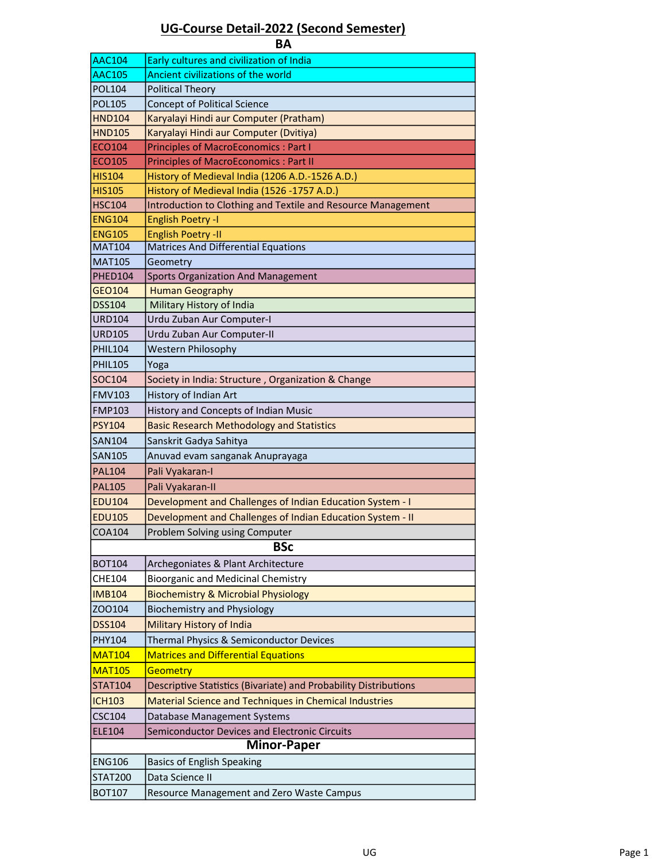## UG-Course Detail-2022 (Second Semester)

| ΒA                       |                                                                  |  |  |  |
|--------------------------|------------------------------------------------------------------|--|--|--|
| <b>AAC104</b>            | Early cultures and civilization of India                         |  |  |  |
| <b>AAC105</b>            | Ancient civilizations of the world                               |  |  |  |
| POL104                   | <b>Political Theory</b>                                          |  |  |  |
| <b>POL105</b>            | <b>Concept of Political Science</b>                              |  |  |  |
| <b>HND104</b>            | Karyalayi Hindi aur Computer (Pratham)                           |  |  |  |
| <b>HND105</b>            | Karyalayi Hindi aur Computer (Dvitiya)                           |  |  |  |
| <b>ECO104</b>            | <b>Principles of MacroEconomics: Part I</b>                      |  |  |  |
| <b>ECO105</b>            | <b>Principles of MacroEconomics: Part II</b>                     |  |  |  |
| <b>HIS104</b>            | History of Medieval India (1206 A.D.-1526 A.D.)                  |  |  |  |
| <b>HIS105</b>            | History of Medieval India (1526 -1757 A.D.)                      |  |  |  |
| <b>HSC104</b>            | Introduction to Clothing and Textile and Resource Management     |  |  |  |
| <b>ENG104</b>            | <b>English Poetry -I</b>                                         |  |  |  |
| <b>ENG105</b>            | <b>English Poetry -II</b>                                        |  |  |  |
| <b>MAT104</b>            | <b>Matrices And Differential Equations</b>                       |  |  |  |
| <b>MAT105</b><br>PHED104 | Geometry<br><b>Sports Organization And Management</b>            |  |  |  |
| GEO104                   | <b>Human Geography</b>                                           |  |  |  |
| <b>DSS104</b>            | Military History of India                                        |  |  |  |
| <b>URD104</b>            | Urdu Zuban Aur Computer-I                                        |  |  |  |
| <b>URD105</b>            | Urdu Zuban Aur Computer-II                                       |  |  |  |
| <b>PHIL104</b>           | Western Philosophy                                               |  |  |  |
| <b>PHIL105</b>           | Yoga                                                             |  |  |  |
| SOC104                   | Society in India: Structure, Organization & Change               |  |  |  |
| <b>FMV103</b>            | History of Indian Art                                            |  |  |  |
| <b>FMP103</b>            | History and Concepts of Indian Music                             |  |  |  |
| <b>PSY104</b>            | <b>Basic Research Methodology and Statistics</b>                 |  |  |  |
| <b>SAN104</b>            | Sanskrit Gadya Sahitya                                           |  |  |  |
| SAN105                   |                                                                  |  |  |  |
| <b>PAL104</b>            | Anuvad evam sanganak Anuprayaga<br>Pali Vyakaran-I               |  |  |  |
| <b>PAL105</b>            | Pali Vyakaran-II                                                 |  |  |  |
| EDU104                   | Development and Challenges of Indian Education System - I        |  |  |  |
| <b>EDU105</b>            | Development and Challenges of Indian Education System - II       |  |  |  |
|                          |                                                                  |  |  |  |
| COA104                   | Problem Solving using Computer<br><b>BSc</b>                     |  |  |  |
|                          |                                                                  |  |  |  |
| BOT104                   | Archegoniates & Plant Architecture                               |  |  |  |
| <b>CHE104</b>            | Bioorganic and Medicinal Chemistry                               |  |  |  |
| <b>IMB104</b>            | <b>Biochemistry &amp; Microbial Physiology</b>                   |  |  |  |
| ZOO104                   | <b>Biochemistry and Physiology</b>                               |  |  |  |
| <b>DSS104</b>            | Military History of India                                        |  |  |  |
| PHY104                   | Thermal Physics & Semiconductor Devices                          |  |  |  |
| <b>MAT104</b>            | <b>Matrices and Differential Equations</b>                       |  |  |  |
| <b>MAT105</b>            | Geometry                                                         |  |  |  |
| <b>STAT104</b>           | Descriptive Statistics (Bivariate) and Probability Distributions |  |  |  |
| <b>ICH103</b>            | Material Science and Techniques in Chemical Industries           |  |  |  |
| CSC104                   | Database Management Systems                                      |  |  |  |
| <b>ELE104</b>            | Semiconductor Devices and Electronic Circuits                    |  |  |  |
| <b>Minor-Paper</b>       |                                                                  |  |  |  |
| <b>ENG106</b>            | <b>Basics of English Speaking</b>                                |  |  |  |
| <b>STAT200</b>           | Data Science II                                                  |  |  |  |
| <b>BOT107</b>            | Resource Management and Zero Waste Campus                        |  |  |  |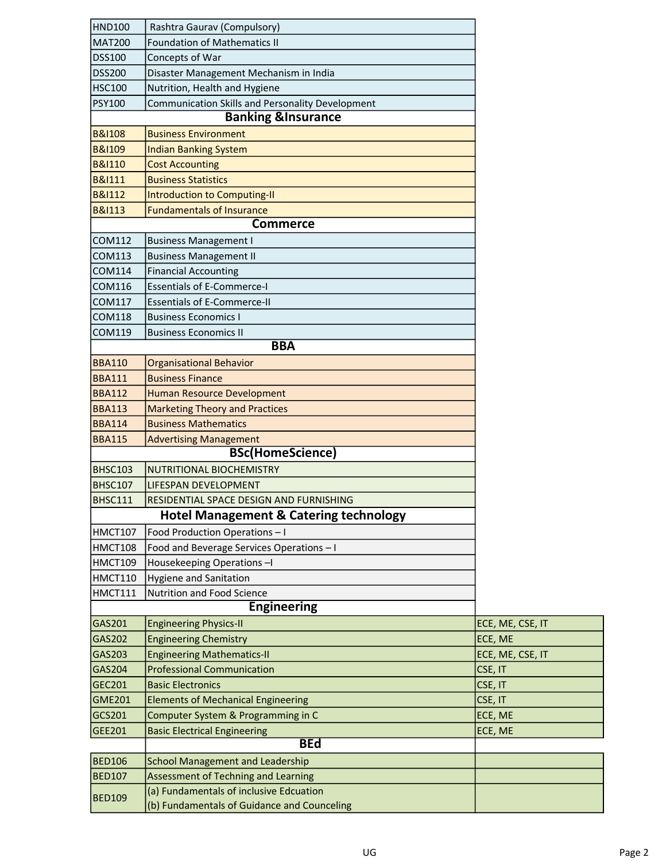| <b>HND100</b>     | Rashtra Gaurav (Compulsory)                       |                  |
|-------------------|---------------------------------------------------|------------------|
| <b>MAT200</b>     | <b>Foundation of Mathematics II</b>               |                  |
| <b>DSS100</b>     | Concepts of War                                   |                  |
| <b>DSS200</b>     | Disaster Management Mechanism in India            |                  |
| <b>HSC100</b>     | Nutrition, Health and Hygiene                     |                  |
| <b>PSY100</b>     | Communication Skills and Personality Development  |                  |
|                   | <b>Banking &amp;Insurance</b>                     |                  |
| <b>B&amp;I108</b> | <b>Business Environment</b>                       |                  |
| <b>B&amp;I109</b> | <b>Indian Banking System</b>                      |                  |
| <b>B&amp;I110</b> | <b>Cost Accounting</b>                            |                  |
| <b>B&amp;I111</b> | <b>Business Statistics</b>                        |                  |
| <b>B&amp;I112</b> | Introduction to Computing-II                      |                  |
| <b>B&amp;I113</b> | <b>Fundamentals of Insurance</b>                  |                  |
|                   | <b>Commerce</b>                                   |                  |
| COM112            | <b>Business Management I</b>                      |                  |
| <b>COM113</b>     | <b>Business Management II</b>                     |                  |
| COM114            | <b>Financial Accounting</b>                       |                  |
| COM116            | <b>Essentials of E-Commerce-I</b>                 |                  |
| <b>COM117</b>     | <b>Essentials of E-Commerce-II</b>                |                  |
| <b>COM118</b>     | <b>Business Economics I</b>                       |                  |
| COM119            | <b>Business Economics II</b>                      |                  |
|                   | <b>BBA</b>                                        |                  |
| <b>BBA110</b>     | <b>Organisational Behavior</b>                    |                  |
| <b>BBA111</b>     | <b>Business Finance</b>                           |                  |
| <b>BBA112</b>     | <b>Human Resource Development</b>                 |                  |
| <b>BBA113</b>     | <b>Marketing Theory and Practices</b>             |                  |
| <b>BBA114</b>     | <b>Business Mathematics</b>                       |                  |
| <b>BBA115</b>     | <b>Advertising Management</b>                     |                  |
|                   | <b>BSc(HomeScience)</b>                           |                  |
| <b>BHSC103</b>    | NUTRITIONAL BIOCHEMISTRY                          |                  |
| <b>BHSC107</b>    | LIFESPAN DEVELOPMENT                              |                  |
| BHSC111           | RESIDENTIAL SPACE DESIGN AND FURNISHING           |                  |
|                   | <b>Hotel Management &amp; Catering technology</b> |                  |
| <b>HMCT107</b>    | Food Production Operations - I                    |                  |
| HMCT108           | Food and Beverage Services Operations - I         |                  |
| HMCT109           | Housekeeping Operations-I                         |                  |
| HMCT110           | <b>Hygiene and Sanitation</b>                     |                  |
| HMCT111           | Nutrition and Food Science                        |                  |
|                   | <b>Engineering</b>                                |                  |
| GAS201            | <b>Engineering Physics-II</b>                     | ECE, ME, CSE, IT |
| GAS202            | <b>Engineering Chemistry</b>                      | ECE, ME          |
| GAS203            | <b>Engineering Mathematics-II</b>                 | ECE, ME, CSE, IT |
| GAS204            | <b>Professional Communication</b>                 | CSE, IT          |
| GEC201            | <b>Basic Electronics</b>                          | CSE, IT          |
| <b>GME201</b>     | <b>Elements of Mechanical Engineering</b>         | CSE, IT          |
| GCS201            | Computer System & Programming in C                | ECE, ME          |
| GEE201            | <b>Basic Electrical Engineering</b>               | ECE, ME          |
|                   | <b>BEd</b>                                        |                  |
| <b>BED106</b>     | <b>School Management and Leadership</b>           |                  |
| <b>BED107</b>     | <b>Assessment of Techning and Learning</b>        |                  |
|                   | (a) Fundamentals of inclusive Edcuation           |                  |
| <b>BED109</b>     | (b) Fundamentals of Guidance and Counceling       |                  |

Ξ